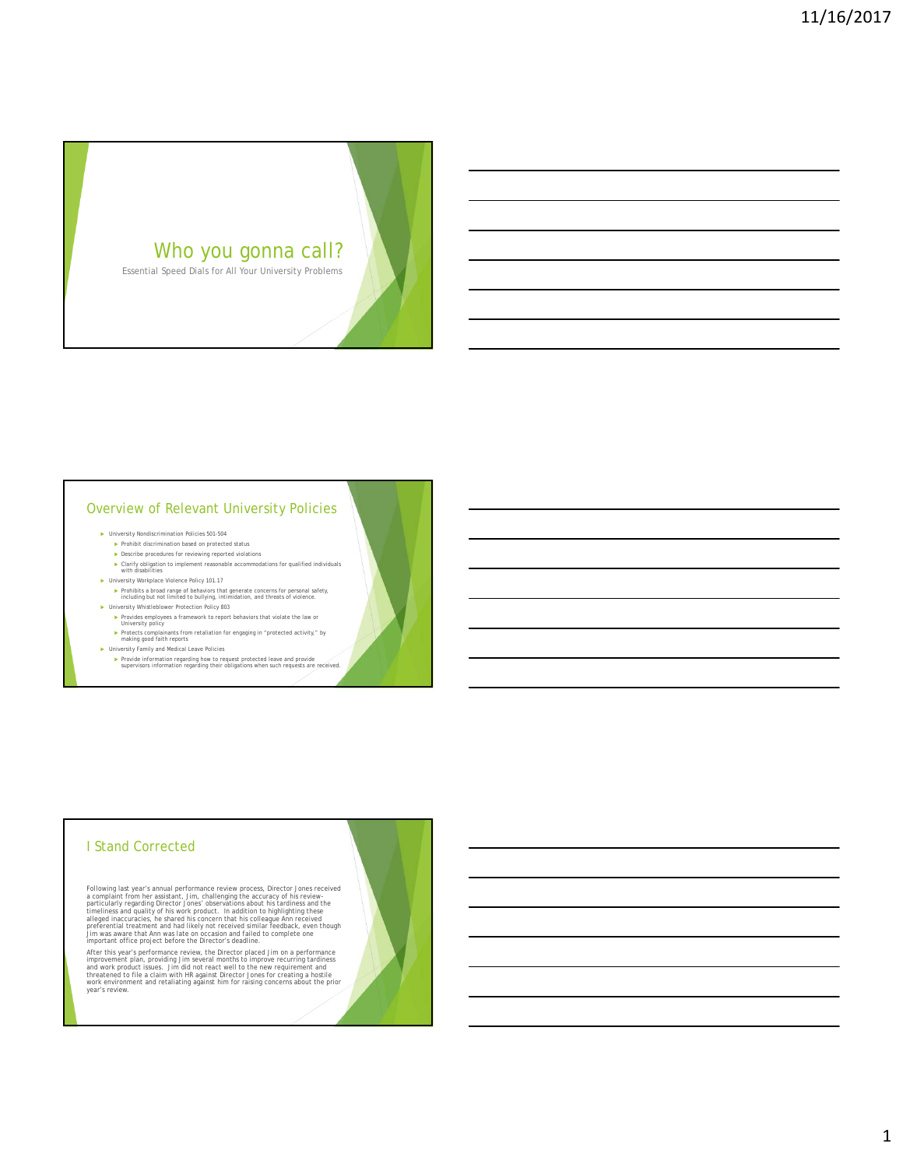

Essential Speed Dials for All Your University Problems

#### Overview of Relevant University Policies

- University Nondiscrimination Policies 501-504
	- ▶ Prohibit discrimination based on protected status<br>▶ Describe procedures for reviewing reported violations
	- Clarify obligation to implement reasonable accommodations for qualified individuals with disabilities
- University Workplace Violence Policy 101.17
	- Prohibits a broad range of behaviors that generate concerns for personal safety, including but not limited to bullying, intimidation, and threats of violence.
- University Whistleblower Protection Policy 803
	- Provides employees a framework to report behaviors that violate the law or University policy
	- Protects complainants from retaliation for engaging in "protected activity," by making good faith reports
- University Family and Medical Leave Policies
	- Provide information regarding how to request protected leave and provide supervisors information regarding their obligations when such requests are received.

## I Stand Corrected

Following last years's annual performance review process, Director Jones received<br>a complaint from her assistant, Jim, challenging the accuracy of his review-<br>particularly regarding Director Jones' observations about his t

After this year's performance review, the Director placed Jim on a performance<br>improvement plan, providing Jim several months to improve recurring tardiness<br>and work product issues. Jim did not react well to the new requir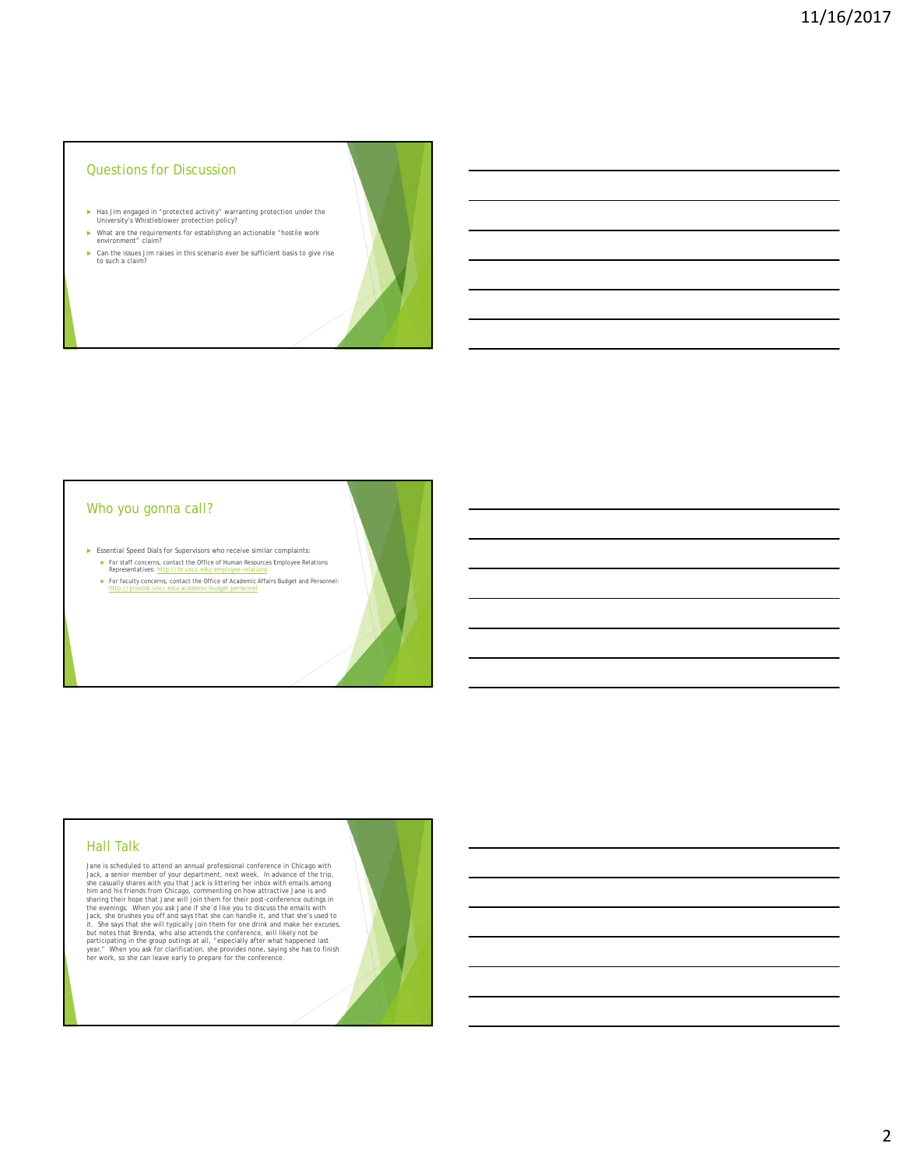- ► Has Jim engaged in "protected activity" warranting protection under the University's Whistleblower protection policy?
- What are the requirements for establishing an actionable "hostile work environment" claim?
- Can the issues Jim raises in this scenario ever be sufficient basis to give rise to such a claim?

#### Who you gonna call?

- Essential Speed Dials for Supervisors who receive similar complaints:
	- ► For staff concerns, contact the Office of Human Resources Employee Relations<br>Representatives: http://hr.uncc.edu/employee-relations
	- For faculty concerns, contact the Office of Academic Affairs Budget and Personnel: http://provost.uncc.edu/academic-budget-personnel

# Hall Talk

Jane is scheduled to attend an annual professional conference in Chicago with<br>Jane, a sendor member of your department, next week. In advance of the trip,<br>she casually shares with you that Jack is littering her inbox with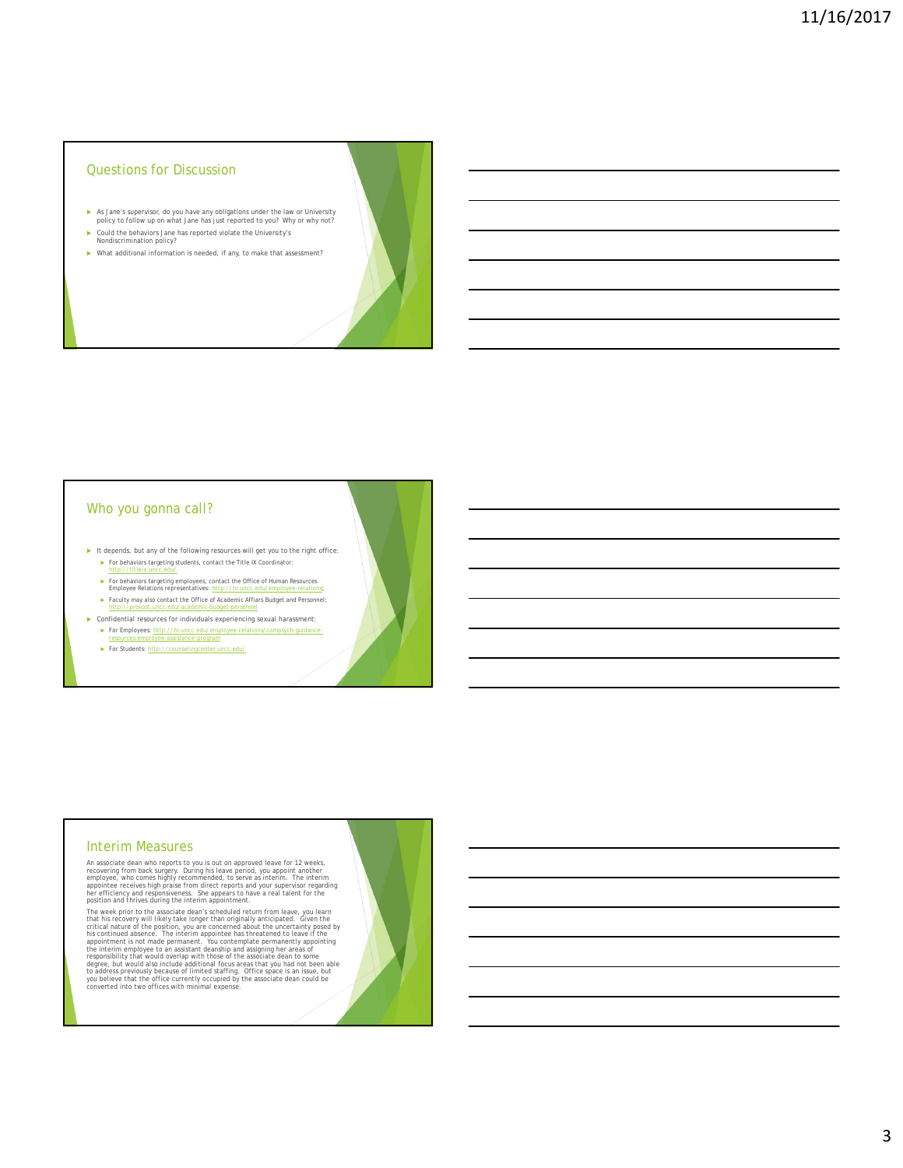- As Jane's supervisor, do you have any obligations under the law or University policy to follow up on what Jane has just reported to you? Why or why not?
- ▶ Could the behaviors Jane has reported violate the University's Nondiscrimination policy?
- What additional information is needed, if any, to make that assessment?

#### Who you gonna call?

- It depends, but any of the following resources will get you to the right office:
	- For behaviors targeting students, contact the Title IX Coordinator: http://titleix.uncc.edu/
	- ► For behaviors targeting employees, contact the Office of Human Resources<br>Employee Relations representatives: http://hr.uncc.edu/employee-relations;
	- Faculty may also contact the Office of Academic Affiars Budget and Personnel: http://provost.uncc.edu/academic-budget-personnel
- Confidential resources for individuals experiencing sexual harassment: For Employees: http://hr.uncc.edu/em
	- e-assistance-program
	- For Students: http://counselingcenter.uncc.edu/

#### Interim Measures

An associate dean who reports to you is out on approved leave for 12 weeks,<br>recovering from back surgery. During his leave period, you appoint another<br>employee, who comes highly recommended, to serve as interim. The interi

The week prior to the associate dean's scheduled return from leave, you learn<br>that his recovery will likely take longer than originally anticipated. Given the<br>trittical nature of the position, you are concerned about the u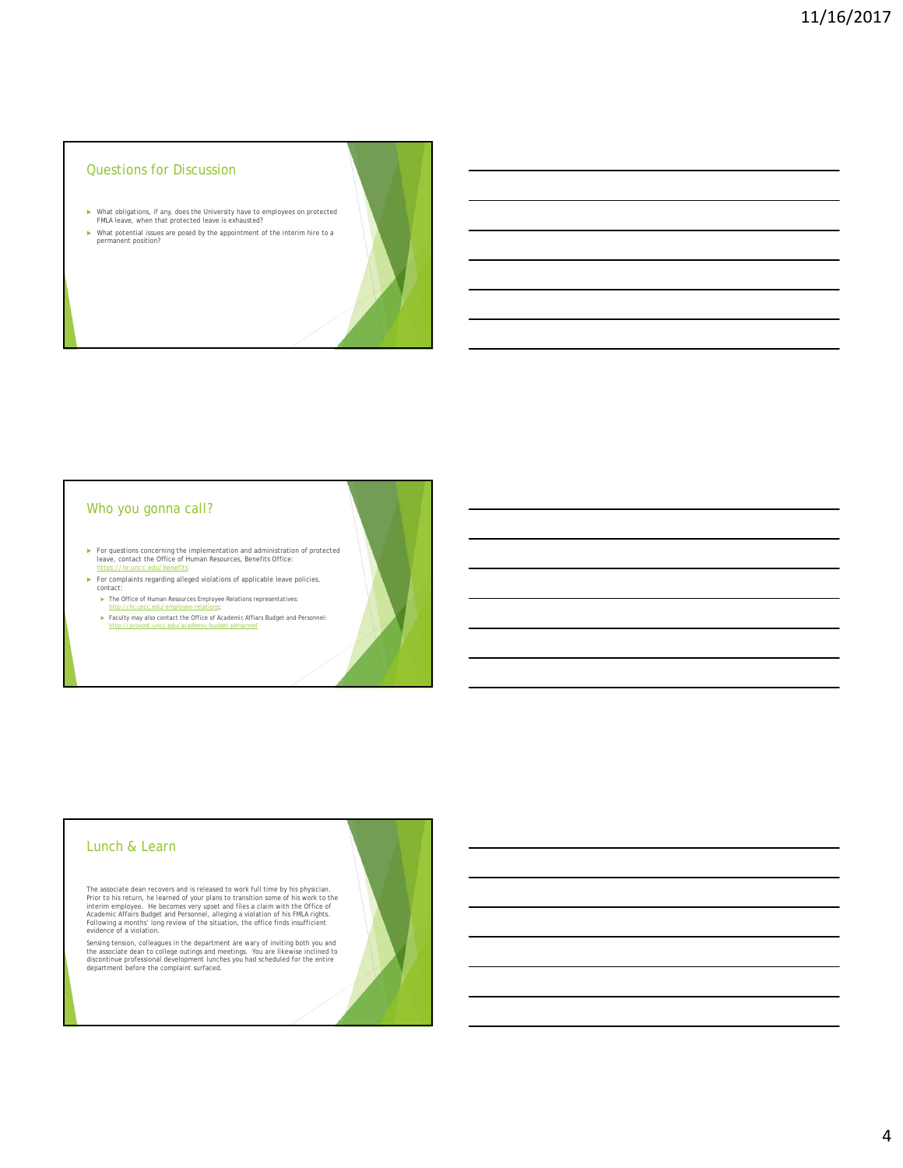- What obligations, if any, does the University have to employees on protected FMLA leave, when that protected leave is exhausted?
- What potential issues are posed by the appointment of the interim hire to a permanent position?

# Who you gonna call?

- For questions concerning the implementation and administration of protected leave, contact the Office of Human Resources, Benefits Office:<br>
https://hr.uncc.edu/benefits
- For complaints regarding alleged violations of applicable leave policies, contact:
	- The Office of Human Resources Employee Relations representatives: http://hr.uncc.edu/employee-relations;
	- Faculty may also contact the Office of Academic Affiars Budget and Personnel: http://provost.uncc.edu/academic-budget-personnel

#### Lunch & Learn

The associate dean recovers and is released to work full time by his physician.<br>Prior to his return, he learned of your plans to transition some of his work to the<br>interim employee. He becomes very upset and files a claim

Sensing tension, colleagues in the department are wary of inviting both you and<br>the associate dean to college outings and meetings. You are likewise inclined to<br>discontinue professional development lunches you had schedule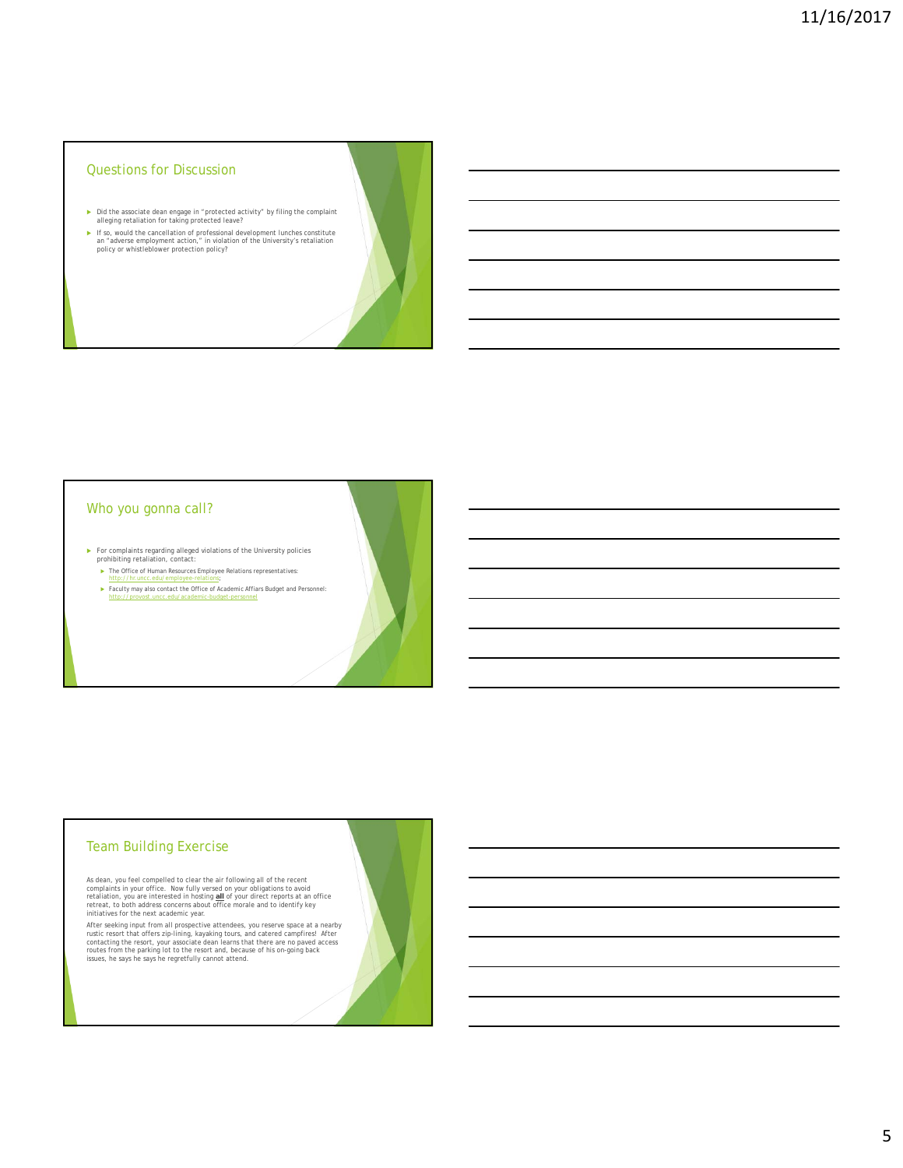- Did the associate dean engage in "protected activity" by filing the complaint alleging retaliation for taking protected leave?
- ► If so, would the cancellation of professional development lunches constitute an "adverse employment action," in violation of the University's retaliation policy or whistleblower protection policy?

#### Who you gonna call?

- For complaints regarding alleged violations of the University policies prohibiting retaliation, contact:
	- The Office of Human Resources Employee Relations representatives: http://hr.uncc.edu/employee-relations;
	- ► Faculty may also contact the Office of Academic Affiars Budget and Personnel:<br>http://provost.uncc.edu/academic-budget-personnel http://provost.uncc.edu/academic-budget-personnel

# Team Building Exercise

As dean, you feel compelled to clear the air following all of the recent<br>complaints in your office. Now fully versed on your obligations to avoid<br>retaliation, you are interested in hosting <u>all</u> of your direct reports at a

After seeking input from all prospective attendees, you reserve space at a nearby ustre cesort that offers zip-lining, kayaking tours, and catered campfires! After contacting the resort, your associate dean learns that the